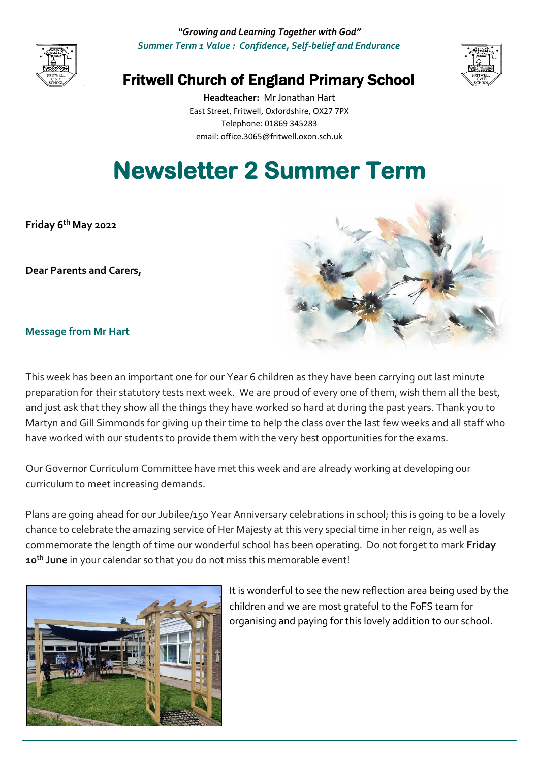

*"Growing and Learning Together with God" Summer Term 1 Value : Confidence, Self-belief and Endurance*



## Fritwell Church of England Primary School

**Headteacher:** Mr Jonathan Hart East Street, Fritwell, Oxfordshire, OX27 7PX Telephone: 01869 345283 [email: office.3065@f](mailto:email:%20office.3065@)ritwell.oxon.sch.uk

# **Newsletter 2 Summer Term**

**Friday 6 th May 2022**

**Dear Parents and Carers,**



**Message from Mr Hart**

This week has been an important one for our Year 6 children as they have been carrying out last minute preparation for their statutory tests next week. We are proud of every one of them, wish them all the best, and just ask that they show all the things they have worked so hard at during the past years. Thank you to Martyn and Gill Simmonds for giving up their time to help the class over the last few weeks and all staff who have worked with our students to provide them with the very best opportunities for the exams.

Our Governor Curriculum Committee have met this week and are already working at developing our curriculum to meet increasing demands.

Plans are going ahead for our Jubilee/150 Year Anniversary celebrations in school; this is going to be a lovely chance to celebrate the amazing service of Her Majesty at this very special time in her reign, as well as commemorate the length of time our wonderful school has been operating. Do not forget to mark **Friday 10th June** in your calendar so that you do not miss this memorable event!



It is wonderful to see the new reflection area being used by the children and we are most grateful to the FoFS team for organising and paying for this lovely addition to our school.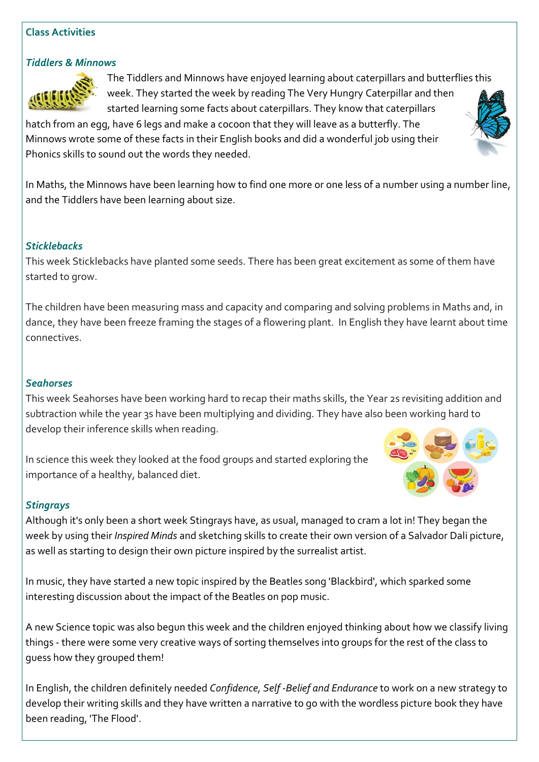### **Class Activities**

### *Tiddlers & Minnows*



The Tiddlers and Minnows have enjoyed learning about caterpillars and butterflies this week. They started the week by reading The Very Hungry Caterpillar and then started learning some facts about caterpillars. They know that caterpillars

hatch from an egg, have 6 legs and make a cocoon that they will leave as a butterfly. The Minnows wrote some of these facts in their English books and did a wonderful job using their Phonics skills to sound out the words they needed.

In Maths, the Minnows have been learning how to find one more or one less of a number using a number line, and the Tiddlers have been learning about size.

### *Sticklebacks*

This week Sticklebacks have planted some seeds. There has been great excitement as some of them have started to grow.

The children have been measuring mass and capacity and comparing and solving problems in Maths and, in dance, they have been freeze framing the stages of a flowering plant. In English they have learnt about time connectives.

### *Seahorses*

This week Seahorses have been working hard to recap their maths skills, the Year 2s revisiting addition and subtraction while the year 3s have been multiplying and dividing. They have also been working hard to develop their inference skills when reading.

In science this week they looked at the food groups and started exploring the importance of a healthy, balanced diet.



### *Stingrays*

Although it's only been a short week Stingrays have, as usual, managed to cram a lot in! They began the week by using their *Inspired Minds* and sketching skills to create their own version of a Salvador Dali picture, as well as starting to design their own picture inspired by the surrealist artist.

In music, they have started a new topic inspired by the Beatles song 'Blackbird', which sparked some interesting discussion about the impact of the Beatles on pop music.

A new Science topic was also begun this week and the children enjoyed thinking about how we classify living things - there were some very creative ways of sorting themselves into groups for the rest of the class to guess how they grouped them!

In English, the children definitely needed *Confidence, Self -Belief and Endurance* to work on a new strategy to develop their writing skills and they have written a narrative to go with the wordless picture book they have been reading, 'The Flood'.

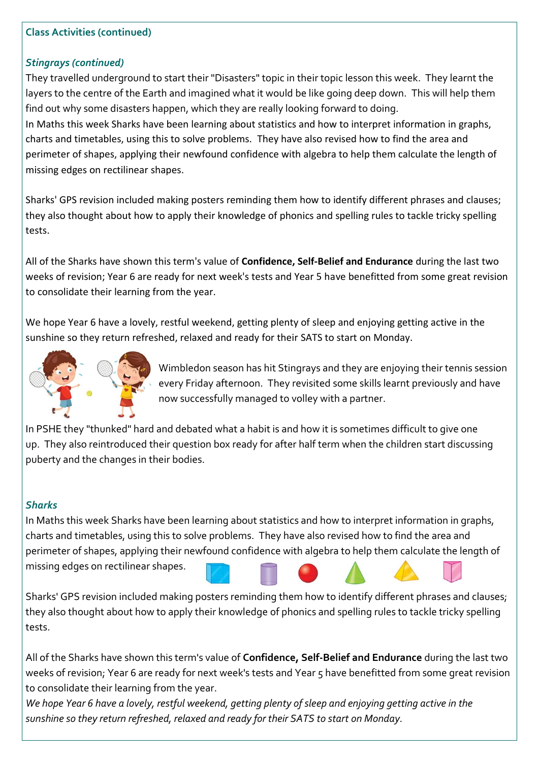### **Class Activities (continued)**

### *Stingrays (continued)*

They travelled underground to start their "Disasters" topic in their topic lesson this week. They learnt the layers to the centre of the Earth and imagined what it would be like going deep down. This will help them find out why some disasters happen, which they are really looking forward to doing.

In Maths this week Sharks have been learning about statistics and how to interpret information in graphs, charts and timetables, using this to solve problems. They have also revised how to find the area and perimeter of shapes, applying their newfound confidence with algebra to help them calculate the length of missing edges on rectilinear shapes.

Sharks' GPS revision included making posters reminding them how to identify different phrases and clauses; they also thought about how to apply their knowledge of phonics and spelling rules to tackle tricky spelling tests.

All of the Sharks have shown this term's value of **Confidence, Self-Belief and Endurance** during the last two weeks of revision; Year 6 are ready for next week's tests and Year 5 have benefitted from some great revision to consolidate their learning from the year.

We hope Year 6 have a lovely, restful weekend, getting plenty of sleep and enjoying getting active in the sunshine so they return refreshed, relaxed and ready for their SATS to start on Monday.



Wimbledon season has hit Stingrays and they are enjoying their tennis session every Friday afternoon. They revisited some skills learnt previously and have now successfully managed to volley with a partner.

In PSHE they "thunked" hard and debated what a habit is and how it is sometimes difficult to give one up. They also reintroduced their question box ready for after half term when the children start discussing puberty and the changes in their bodies.

### *Sharks*

In Maths this week Sharks have been learning about statistics and how to interpret information in graphs, charts and timetables, using this to solve problems. They have also revised how to find the area and perimeter of shapes, applying their newfound confidence with algebra to help them calculate the length of missing edges on rectilinear shapes.

Sharks' GPS revision included making posters reminding them how to identify different phrases and clauses; they also thought about how to apply their knowledge of phonics and spelling rules to tackle tricky spelling tests.

All of the Sharks have shown this term's value of **Confidence, Self-Belief and Endurance** during the last two weeks of revision; Year 6 are ready for next week's tests and Year 5 have benefitted from some great revision to consolidate their learning from the year.

*We hope Year 6 have a lovely, restful weekend, getting plenty of sleep and enjoying getting active in the sunshine so they return refreshed, relaxed and ready for their SATS to start on Monday.*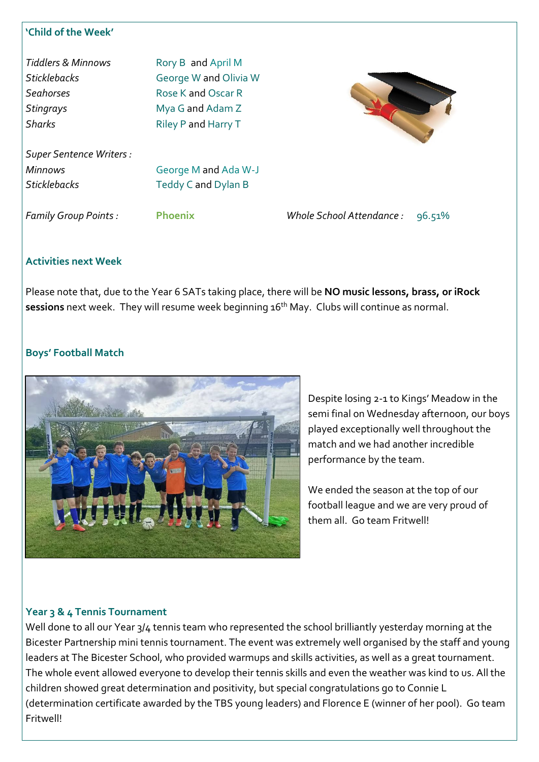### **'Child of the Week'**

| <b>Tiddlers &amp; Minnows</b> | Rory B and April M    |
|-------------------------------|-----------------------|
| <b>Sticklebacks</b>           | George W and Olivia W |
| <b>Seahorses</b>              | Rose K and Oscar R    |
| <b>Stingrays</b>              | Mya G and Adam Z      |
| <b>Sharks</b>                 | Riley P and Harry T   |



*Family Group Points :* **Phoenix** *Whole School Attendance :* 96.51%

### **Activities next Week**

Please note that, due to the Year 6 SATs taking place, there will be **NO music lessons, brass, or iRock**  sessions next week. They will resume week beginning 16<sup>th</sup> May. Clubs will continue as normal.

### **Boys' Football Match**



Despite losing 2-1 to Kings' Meadow in the semi final on Wednesday afternoon, our boys played exceptionally well throughout the match and we had another incredible performance by the team.

We ended the season at the top of our football league and we are very proud of them all. Go team Fritwell!

### **Year 3 & 4 Tennis Tournament**

Well done to all our Year 3/4 tennis team who represented the school brilliantly yesterday morning at the Bicester Partnership mini tennis tournament. The event was extremely well organised by the staff and young leaders at The Bicester School, who provided warmups and skills activities, as well as a great tournament. The whole event allowed everyone to develop their tennis skills and even the weather was kind to us. All the children showed great determination and positivity, but special congratulations go to Connie L (determination certificate awarded by the TBS young leaders) and Florence E (winner of her pool). Go team Fritwell!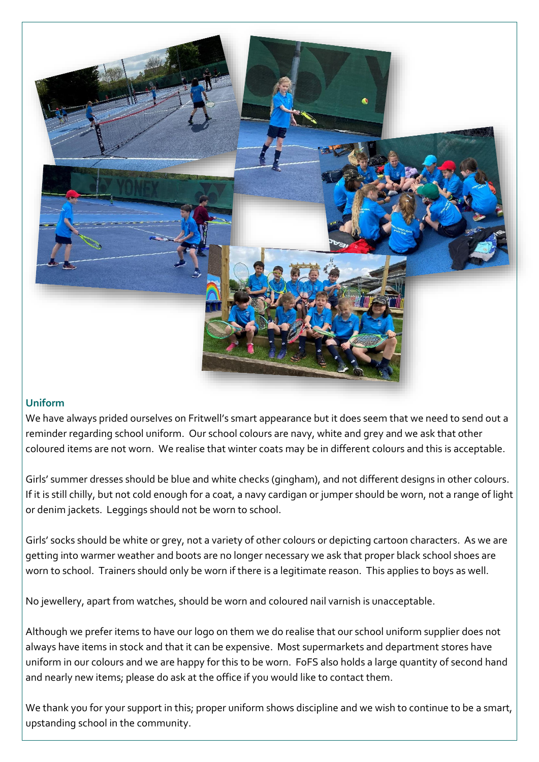

### **Uniform**

We have always prided ourselves on Fritwell's smart appearance but it does seem that we need to send out a reminder regarding school uniform. Our school colours are navy, white and grey and we ask that other coloured items are not worn. We realise that winter coats may be in different colours and this is acceptable.

Girls' summer dresses should be blue and white checks (gingham), and not different designs in other colours. If it is still chilly, but not cold enough for a coat, a navy cardigan or jumper should be worn, not a range of light or denim jackets. Leggings should not be worn to school.

Girls' socks should be white or grey, not a variety of other colours or depicting cartoon characters. As we are getting into warmer weather and boots are no longer necessary we ask that proper black school shoes are worn to school. Trainers should only be worn if there is a legitimate reason. This applies to boys as well.

No jewellery, apart from watches, should be worn and coloured nail varnish is unacceptable.

Although we prefer items to have our logo on them we do realise that our school uniform supplier does not always have items in stock and that it can be expensive. Most supermarkets and department stores have uniform in our colours and we are happy for this to be worn. FoFS also holds a large quantity of second hand and nearly new items; please do ask at the office if you would like to contact them.

We thank you for your support in this; proper uniform shows discipline and we wish to continue to be a smart, upstanding school in the community.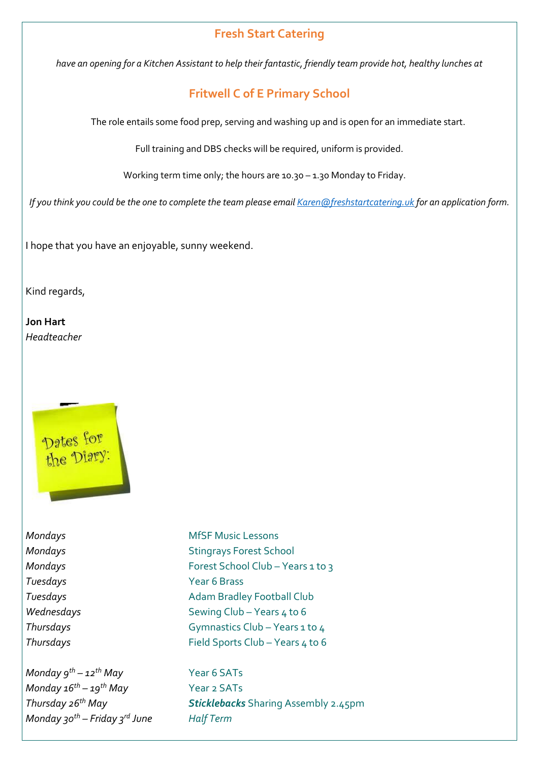### **Fresh Start Catering**

*have an opening for a Kitchen Assistant to help their fantastic, friendly team provide hot, healthy lunches at* 

### **Fritwell C of E Primary School**

The role entails some food prep, serving and washing up and is open for an immediate start.

Full training and DBS checks will be required, uniform is provided.

Working term time only; the hours are 10.30 – 1.30 Monday to Friday.

*If you think you could be the one to complete the team please email [Karen@freshstartcatering.uk](mailto:Karen@freshstartcatering.uk) for an application form.* 

I hope that you have an enjoyable, sunny weekend.

Kind regards,

**Jon Hart** *Headteacher*



# *Tuesdays* Year 6 Brass

*Monday 9th – 12th May* Year 6 SATs *Monday 16th – 19th May* Year 2 SATs *Monday 30th – Friday 3rd June Half Term*

**Mondays** MfSF Music Lessons **Mondays** Stingrays Forest School *Mondays* Forest School Club – Years 1 to 3 **Tuesdays Adam Bradley Football Club** *Wednesdays* Sewing Club – Years 4 to 6 *Thursdays* Gymnastics Club – Years 1 to 4 *Thursdays* Field Sports Club – Years 4 to 6

*Thursday 26th May Sticklebacks* Sharing Assembly 2.45pm